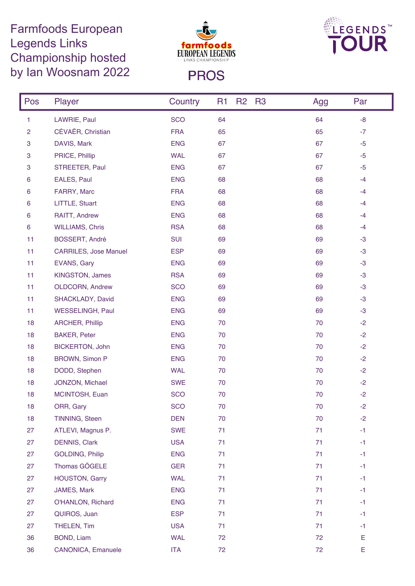## Farmfoods European Legends Links Championship hosted by Ian Woosnam 2022 PROS





| Pos                       | Player                       | Country    | R <sub>1</sub> | R <sub>2</sub> | <b>R3</b> | Agg | Par  |
|---------------------------|------------------------------|------------|----------------|----------------|-----------|-----|------|
| 1                         | LAWRIE, Paul                 | <b>SCO</b> | 64             |                |           | 64  | $-8$ |
| $\overline{c}$            | CÉVAËR, Christian            | <b>FRA</b> | 65             |                |           | 65  | $-7$ |
| $\sqrt{3}$                | DAVIS, Mark                  | <b>ENG</b> | 67             |                |           | 67  | $-5$ |
| $\sqrt{3}$                | PRICE, Phillip               | <b>WAL</b> | 67             |                |           | 67  | $-5$ |
| $\ensuremath{\mathsf{3}}$ | STREETER, Paul               | <b>ENG</b> | 67             |                |           | 67  | $-5$ |
| 6                         | EALES, Paul                  | <b>ENG</b> | 68             |                |           | 68  | $-4$ |
| 6                         | FARRY, Marc                  | <b>FRA</b> | 68             |                |           | 68  | $-4$ |
| 6                         | LITTLE, Stuart               | <b>ENG</b> | 68             |                |           | 68  | $-4$ |
| $6\phantom{1}6$           | RAITT, Andrew                | <b>ENG</b> | 68             |                |           | 68  | $-4$ |
| $\boldsymbol{6}$          | <b>WILLIAMS, Chris</b>       | <b>RSA</b> | 68             |                |           | 68  | $-4$ |
| 11                        | BOSSERT, André               | SUI        | 69             |                |           | 69  | $-3$ |
| 11                        | <b>CARRILES, Jose Manuel</b> | <b>ESP</b> | 69             |                |           | 69  | $-3$ |
| 11                        | EVANS, Gary                  | <b>ENG</b> | 69             |                |           | 69  | $-3$ |
| 11                        | <b>KINGSTON, James</b>       | <b>RSA</b> | 69             |                |           | 69  | $-3$ |
| 11                        | OLDCORN, Andrew              | <b>SCO</b> | 69             |                |           | 69  | $-3$ |
| 11                        | SHACKLADY, David             | <b>ENG</b> | 69             |                |           | 69  | $-3$ |
| 11                        | WESSELINGH, Paul             | <b>ENG</b> | 69             |                |           | 69  | $-3$ |
| 18                        | <b>ARCHER, Phillip</b>       | <b>ENG</b> | 70             |                |           | 70  | $-2$ |
| 18                        | <b>BAKER, Peter</b>          | <b>ENG</b> | 70             |                |           | 70  | $-2$ |
| 18                        | <b>BICKERTON, John</b>       | <b>ENG</b> | 70             |                |           | 70  | $-2$ |
| 18                        | BROWN, Simon P               | <b>ENG</b> | 70             |                |           | 70  | $-2$ |
| 18                        | DODD, Stephen                | <b>WAL</b> | 70             |                |           | 70  | $-2$ |
| 18                        | JONZON, Michael              | <b>SWE</b> | 70             |                |           | 70  | $-2$ |
| 18                        | MCINTOSH, Euan               | <b>SCO</b> | 70             |                |           | 70  | $-2$ |
| 18                        | ORR, Gary                    | SCO        | 70             |                |           | 70  | $-2$ |
| 18                        | TINNING, Steen               | <b>DEN</b> | 70             |                |           | 70  | $-2$ |
| 27                        | ATLEVI, Magnus P.            | <b>SWE</b> | 71             |                |           | 71  | $-1$ |
| 27                        | <b>DENNIS, Clark</b>         | <b>USA</b> | 71             |                |           | 71  | $-1$ |
| 27                        | <b>GOLDING, Philip</b>       | <b>ENG</b> | 71             |                |           | 71  | $-1$ |
| 27                        | Thomas GÖGELE                | <b>GER</b> | 71             |                |           | 71  | $-1$ |
| 27                        | <b>HOUSTON, Garry</b>        | <b>WAL</b> | 71             |                |           | 71  | $-1$ |
| 27                        | JAMES, Mark                  | <b>ENG</b> | 71             |                |           | 71  | $-1$ |
| 27                        | O'HANLON, Richard            | <b>ENG</b> | 71             |                |           | 71  | $-1$ |
| 27                        | QUIROS, Juan                 | <b>ESP</b> | 71             |                |           | 71  | $-1$ |
| 27                        | THELEN, Tim                  | <b>USA</b> | 71             |                |           | 71  | $-1$ |
| 36                        | BOND, Liam                   | <b>WAL</b> | 72             |                |           | 72  | Е    |
| 36                        | CANONICA, Emanuele           | <b>ITA</b> | 72             |                |           | 72  | Ε    |